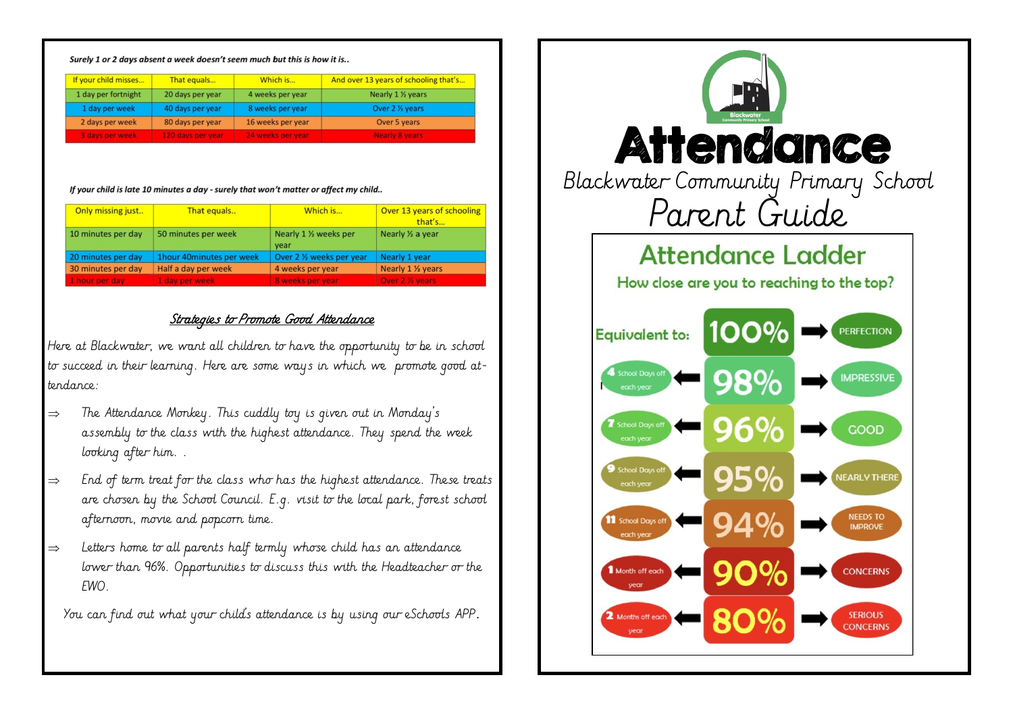#### Surely 1 or 2 days absent a week doesn't seem much but this is how it is..

| If your child misses | That equals       | Which is          | And over 13 years of schooling that's |
|----------------------|-------------------|-------------------|---------------------------------------|
| 1 day per fortnight  | 20 days per year  | 4 weeks per year  | Nearly 1 1/ <sub>2</sub> years        |
| 1 day per week       | 40 days per year  | 8 weeks per year  | Over 2 1/2 years                      |
| 2 days per week      | 80 days per year  | 16 weeks per year | Over 5 years                          |
| 3 days per week      | 120 days per year | 24 weeks per year | <b>Nearly 8 years</b>                 |

#### If your child is late 10 minutes a day - surely that won't matter or affect my child..

| Only missing just  | That equals              | Which is                                   | Over 13 years of schooling<br>that's |
|--------------------|--------------------------|--------------------------------------------|--------------------------------------|
| 10 minutes per day | 50 minutes per week      | Nearly 1 1/ <sub>2</sub> weeks per<br>year | Nearly 1/2 a year                    |
| 20 minutes per day | 1hour 40minutes per week | Over 2 1/ <sub>2</sub> weeks per year      | Nearly 1 year                        |
| 30 minutes per day | Half a day per week      | 4 weeks per year                           | Nearly 1 1/2 years                   |
| 1 hour per day     | 1 day per week           | 8 weeks per year                           | Over 2 % years                       |

### Strategies to Promote Good Attendance

Here at Blackwater, we want all children to have the opportunity to be in school to succeed in their learning. Here are some ways in which we promote good attendance:

- $\Rightarrow$  The Attendance Monkey. This cuddly toy is given out in Monday's assembly to the class with the highest attendance. They spend the week looking after him. .
- $\Rightarrow$  End of term treat for the class who has the highest attendance. These treats are chosen by the School Council. E.g. visit to the local park, forest school afternoon, movie and popcorn time.
- $\Rightarrow$  Letters home to all parents half termly whose child has an attendance lower than 96%. Opportunities to discuss this with the Headteacher or the EWO.

You can find out what your child's attendance is by using our eSchools APP.